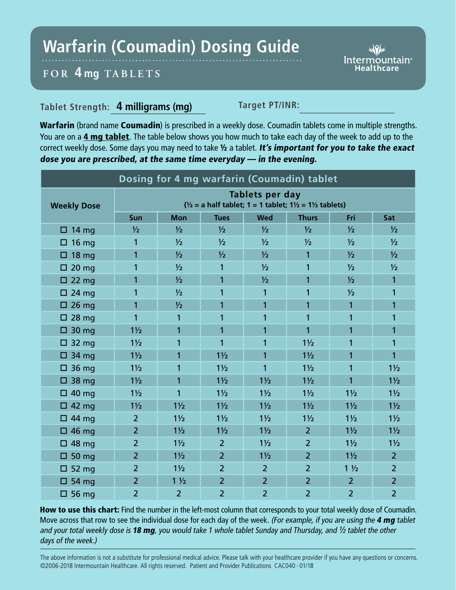## **Warfarin (Coumadin) Dosing Guide**

Intermountain<sup>®</sup>

## **FOR 4 mg TABL ETS**

## **Tablet Strength: 4 milligrams (mg) Target PT/INR:**

Warfarin (brand name Coumadin) is prescribed in a weekly dose. Coumadin tablets come in multiple strengths. You are on a 4 mg tablet. The table below shows you how much to take each day of the week to add up to the correct weekly dose. Some days you may need to take 1/2 a tablet. It's important for you to take the exact dose you are prescribed, at the same time everyday — in the evening.

| Dosing for 4 mg warfarin (Coumadin) tablet |                                                                                                                   |                |                |                |                |                |                |
|--------------------------------------------|-------------------------------------------------------------------------------------------------------------------|----------------|----------------|----------------|----------------|----------------|----------------|
| <b>Weekly Dose</b>                         | <b>Tablets per day</b><br>$\frac{1}{2}$ = a half tablet; 1 = 1 tablet; 1 $\frac{1}{2}$ = 1 $\frac{1}{2}$ tablets) |                |                |                |                |                |                |
|                                            | Sun                                                                                                               | <b>Mon</b>     | <b>Tues</b>    | <b>Wed</b>     | <b>Thurs</b>   | Fri            | Sat            |
| $\Box$ 14 mg                               | $\frac{1}{2}$                                                                                                     | $\frac{1}{2}$  | $\frac{1}{2}$  | $\frac{1}{2}$  | $\frac{1}{2}$  | $\frac{1}{2}$  | $\frac{1}{2}$  |
| $\Box$ 16 mg                               | 1                                                                                                                 | $\frac{1}{2}$  | $\frac{1}{2}$  | $\frac{1}{2}$  | $\frac{1}{2}$  | $\frac{1}{2}$  | $\frac{1}{2}$  |
| $\Box$ 18 mg                               | 1                                                                                                                 | 1/2            | 1/2            | $\frac{1}{2}$  | 1              | $\frac{1}{2}$  | $\frac{1}{2}$  |
| $\square$ 20 mg                            | 1                                                                                                                 | 1/2            | 1              | $\frac{1}{2}$  | 1              | $\frac{1}{2}$  | $\frac{1}{2}$  |
| $\Box$ 22 mg                               | 1                                                                                                                 | $\frac{1}{2}$  | 1              | 1/2            | 1              | $\frac{1}{2}$  | 1              |
| $\Box$ 24 mg                               | 1                                                                                                                 | 1/2            | 1              | $\mathbf{1}$   | 1              | $\frac{1}{2}$  | 1              |
| $\square$ 26 mg                            | 1                                                                                                                 | $\frac{1}{2}$  | 1              | $\mathbf{1}$   | 1              | 1              | 1              |
| $\square$ 28 mg                            | 1                                                                                                                 | 1              | 1              | 1              | 1              | 1              | 1              |
| $\Box$ 30 mg                               | $1\frac{1}{2}$                                                                                                    | $\overline{1}$ | $\overline{1}$ | $\mathbf{1}$   | $\overline{1}$ | $\overline{1}$ | 1              |
| $\Box$ 32 mg                               | $1\frac{1}{2}$                                                                                                    | 1              | 1              | 1              | $1\frac{1}{2}$ | 1              | 1              |
| $\Box$ 34 mg                               | $1\frac{1}{2}$                                                                                                    | 1              | $1\frac{1}{2}$ | $\mathbf{1}$   | $1\frac{1}{2}$ | 1              | $\overline{1}$ |
| $\Box$ 36 mg                               | $1\frac{1}{2}$                                                                                                    | 1              | $1\frac{1}{2}$ | 1              | $1\frac{1}{2}$ | 1              | $1\frac{1}{2}$ |
| $\Box$ 38 mg                               | $1\frac{1}{2}$                                                                                                    | $\overline{1}$ | $1\frac{1}{2}$ | $1\frac{1}{2}$ | $1\frac{1}{2}$ | $\overline{1}$ | $1\frac{1}{2}$ |
| $\Box$ 40 mg                               | $1\frac{1}{2}$                                                                                                    | $\overline{1}$ | $1\frac{1}{2}$ | $1\frac{1}{2}$ | $1\frac{1}{2}$ | $1\frac{1}{2}$ | $1\frac{1}{2}$ |
| $\Box$ 42 mg                               | $1\frac{1}{2}$                                                                                                    | $1\frac{1}{2}$ | $1\frac{1}{2}$ | $1\frac{1}{2}$ | $1\frac{1}{2}$ | $1\frac{1}{2}$ | $1\frac{1}{2}$ |
| $\Box$ 44 mg                               | $\overline{2}$                                                                                                    | $1\frac{1}{2}$ | $1\frac{1}{2}$ | $1\frac{1}{2}$ | $1\frac{1}{2}$ | $1\frac{1}{2}$ | $1\frac{1}{2}$ |
| $\Box$ 46 mg                               | $\overline{2}$                                                                                                    | $1\frac{1}{2}$ | $1\frac{1}{2}$ | $1\frac{1}{2}$ | $\overline{2}$ | $1\frac{1}{2}$ | $1\frac{1}{2}$ |
| $\Box$ 48 mg                               | $\overline{2}$                                                                                                    | $1\frac{1}{2}$ | $\overline{2}$ | $1\frac{1}{2}$ | $\overline{2}$ | $1\frac{1}{2}$ | $1\frac{1}{2}$ |
| $\square$ 50 mg                            | $\overline{2}$                                                                                                    | $1\frac{1}{2}$ | $\overline{2}$ | $1\frac{1}{2}$ | $\overline{2}$ | $1\frac{1}{2}$ | $\overline{2}$ |
| $\Box$ 52 mg                               | $\overline{2}$                                                                                                    | $1\frac{1}{2}$ | $\overline{2}$ | $\overline{2}$ | $\overline{2}$ | $1\frac{1}{2}$ | $\overline{2}$ |
| $\Box$ 54 mg                               | $\overline{2}$                                                                                                    | $1\frac{1}{2}$ | $\overline{2}$ | $\overline{2}$ | $\overline{2}$ | $\overline{2}$ | $\overline{2}$ |
| $\Box$ 56 mg                               | $\overline{2}$                                                                                                    | $\overline{2}$ | $\overline{2}$ | $\overline{2}$ | $\overline{2}$ | $\overline{2}$ | $\overline{2}$ |

How to use this chart: Find the number in the left-most column that corresponds to your total weekly dose of Coumadin. Move across that row to see the individual dose for each day of the week. (For example, if you are using the 4 mg tablet and your total weekly dose is 18 mg, you would take 1 whole tablet Sunday and Thursday, and  $\frac{1}{2}$  tablet the other days of the week.)

The above information is not a substitute for professional medical advice. Please talk with your healthcare provider if you have any questions or concerns. ©2006-2018 Intermountain Healthcare. All rights reserved. Patient and Provider Publications CAC040 - 01/18